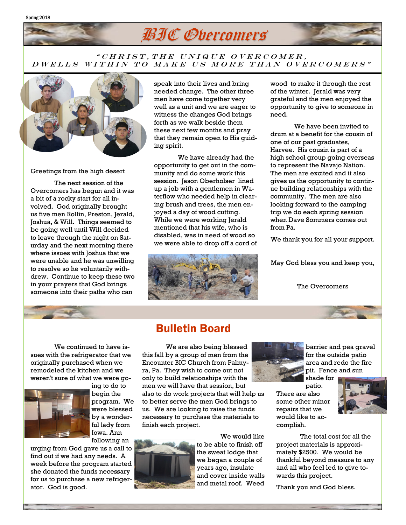# BIC Overcomers

#### " CHRIST, THE UNIQUE OVERCOMER, D W E L L S W I T H I N T O MAKE US MORE T HAN OVER COMERS"



Spring 2018

Greetings from the high desert

The next session of the Overcomers has begun and it was a bit of a rocky start for all involved. God originally brought us five men Rollin, Preston, Jerald, Joshua, & Will. Things seemed to be going well until Will decided to leave through the night on Saturday and the next morning there where issues with Joshua that we were unable and he was unwilling to resolve so he voluntarily withdrew. Continue to keep these two in your prayers that God brings someone into their paths who can

speak into their lives and bring needed change. The other three men have come together very well as a unit and we are eager to witness the changes God brings forth as we walk beside them these next few months and pray that they remain open to His guiding spirit.

We have already had the opportunity to get out in the community and do some work this session. Jason Oberholser lined up a job with a gentlemen in Waterflow who needed help in clearing brush and trees, the men enjoyed a day of wood cutting. While we were working Jerald mentioned that his wife, who is disabled, was in need of wood so we were able to drop off a cord of



wood to make it through the rest of the winter. Jerald was very grateful and the men enjoyed the opportunity to give to someone in need.

We have been invited to drum at a benefit for the cousin of one of our past graduates, Harvee. His cousin is part of a high school group going overseas to represent the Navajo Nation. The men are excited and it also gives us the opportunity to continue building relationships with the community. The men are also looking forward to the camping trip we do each spring session when Dave Sommers comes out from Pa.

We thank you for all your support.

May God bless you and keep you,

The Overcomers

We continued to have issues with the refrigerator that we originally purchased when we remodeled the kitchen and we weren't sure of what we were go-



ing to do to begin the program. We were blessed by a wonderful lady from Iowa. Ann following an

urging from God gave us a call to find out if we had any needs. A week before the program started she donated the funds necessary for us to purchase a new refrigerator. God is good.

### Bulletin Board

We are also being blessed this fall by a group of men from the Encounter BIC Church from Palmyra, Pa. They wish to come out not only to build relationships with the men we will have that session, but also to do work projects that will help us to better serve the men God brings to us. We are looking to raise the funds necessary to purchase the materials to finish each project.



We would like to be able to finish off the sweat lodge that we began a couple of years ago, insulate and cover inside walls and metal roof. Weed



barrier and pea gravel for the outside patio area and redo the fire pit. Fence and sun shade for

patio. There are also some other minor repairs that we would like to accomplish.



The total cost for all the project materials is approximately \$2500. We would be thankful beyond measure to any and all who feel led to give towards this project.

Thank you and God bless.